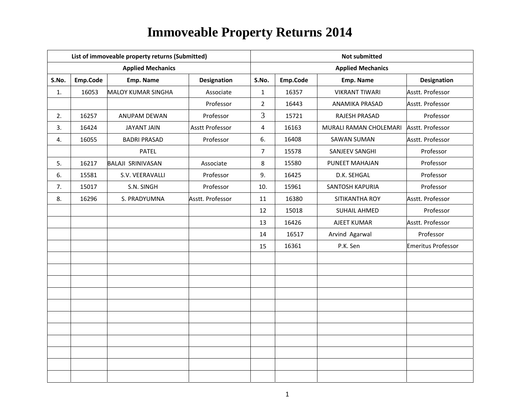|       |          | List of immoveable property returns (Submitted) |                        | <b>Not submitted</b> |          |                          |                           |  |  |
|-------|----------|-------------------------------------------------|------------------------|----------------------|----------|--------------------------|---------------------------|--|--|
|       |          | <b>Applied Mechanics</b>                        |                        |                      |          | <b>Applied Mechanics</b> |                           |  |  |
| S.No. | Emp.Code | Emp. Name                                       | <b>Designation</b>     | S.No.                | Emp.Code | Emp. Name                | <b>Designation</b>        |  |  |
| 1.    | 16053    | <b>MALOY KUMAR SINGHA</b>                       | Associate              | $\mathbf{1}$         | 16357    | <b>VIKRANT TIWARI</b>    | Asstt. Professor          |  |  |
|       |          |                                                 | Professor              | $\overline{2}$       | 16443    | ANAMIKA PRASAD           | Asstt. Professor          |  |  |
| 2.    | 16257    | ANUPAM DEWAN                                    | Professor              | $\overline{3}$       | 15721    | RAJESH PRASAD            | Professor                 |  |  |
| 3.    | 16424    | <b>JAYANT JAIN</b>                              | <b>Asstt Professor</b> | 4                    | 16163    | MURALI RAMAN CHOLEMARI   | Asstt. Professor          |  |  |
| 4.    | 16055    | <b>BADRI PRASAD</b>                             | Professor              | 6.                   | 16408    | <b>SAWAN SUMAN</b>       | Asstt. Professor          |  |  |
|       |          | <b>PATEL</b>                                    |                        | $\overline{7}$       | 15578    | SANJEEV SANGHI           | Professor                 |  |  |
| 5.    | 16217    | <b>BALAJI SRINIVASAN</b>                        | Associate              | 8                    | 15580    | PUNEET MAHAJAN           | Professor                 |  |  |
| 6.    | 15581    | S.V. VEERAVALLI                                 | Professor              | 9.                   | 16425    | D.K. SEHGAL              | Professor                 |  |  |
| 7.    | 15017    | S.N. SINGH                                      | Professor              | 10.                  | 15961    | SANTOSH KAPURIA          | Professor                 |  |  |
| 8.    | 16296    | S. PRADYUMNA                                    | Asstt. Professor       | 11                   | 16380    | SITIKANTHA ROY           | Asstt. Professor          |  |  |
|       |          |                                                 |                        | 12                   | 15018    | <b>SUHAIL AHMED</b>      | Professor                 |  |  |
|       |          |                                                 |                        | 13                   | 16426    | AJEET KUMAR              | Asstt. Professor          |  |  |
|       |          |                                                 |                        | 14                   | 16517    | Arvind Agarwal           | Professor                 |  |  |
|       |          |                                                 |                        | 15                   | 16361    | P.K. Sen                 | <b>Emeritus Professor</b> |  |  |
|       |          |                                                 |                        |                      |          |                          |                           |  |  |
|       |          |                                                 |                        |                      |          |                          |                           |  |  |
|       |          |                                                 |                        |                      |          |                          |                           |  |  |
|       |          |                                                 |                        |                      |          |                          |                           |  |  |
|       |          |                                                 |                        |                      |          |                          |                           |  |  |
|       |          |                                                 |                        |                      |          |                          |                           |  |  |
|       |          |                                                 |                        |                      |          |                          |                           |  |  |
|       |          |                                                 |                        |                      |          |                          |                           |  |  |
|       |          |                                                 |                        |                      |          |                          |                           |  |  |
|       |          |                                                 |                        |                      |          |                          |                           |  |  |
|       |          |                                                 |                        |                      |          |                          |                           |  |  |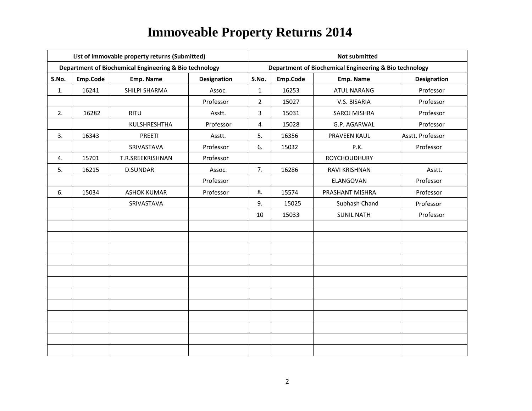|       |          | List of immovable property returns (Submitted)         |                    | <b>Not submitted</b> |          |                                                        |                    |  |
|-------|----------|--------------------------------------------------------|--------------------|----------------------|----------|--------------------------------------------------------|--------------------|--|
|       |          | Department of Biochemical Engineering & Bio technology |                    |                      |          | Department of Biochemical Engineering & Bio technology |                    |  |
| S.No. | Emp.Code | Emp. Name                                              | <b>Designation</b> | S.No.                | Emp.Code | Emp. Name                                              | <b>Designation</b> |  |
| 1.    | 16241    | SHILPI SHARMA                                          | Assoc.             | $\mathbf{1}$         | 16253    | <b>ATUL NARANG</b>                                     | Professor          |  |
|       |          |                                                        | Professor          | $\overline{2}$       | 15027    | V.S. BISARIA                                           | Professor          |  |
| 2.    | 16282    | <b>RITU</b>                                            | Asstt.             | 3                    | 15031    | SAROJ MISHRA                                           | Professor          |  |
|       |          | KULSHRESHTHA                                           | Professor          | 4                    | 15028    | G.P. AGARWAL                                           | Professor          |  |
| 3.    | 16343    | PREETI                                                 | Asstt.             | 5.                   | 16356    | PRAVEEN KAUL                                           | Asstt. Professor   |  |
|       |          | SRIVASTAVA                                             | Professor          | 6.                   | 15032    | P.K.                                                   | Professor          |  |
| 4.    | 15701    | T.R.SREEKRISHNAN                                       | Professor          |                      |          | <b>ROYCHOUDHURY</b>                                    |                    |  |
| 5.    | 16215    | <b>D.SUNDAR</b>                                        | Assoc.             | 7.                   | 16286    | RAVI KRISHNAN                                          | Asstt.             |  |
|       |          |                                                        | Professor          |                      |          | ELANGOVAN                                              | Professor          |  |
| 6.    | 15034    | <b>ASHOK KUMAR</b>                                     | Professor          | 8.                   | 15574    | PRASHANT MISHRA                                        | Professor          |  |
|       |          | SRIVASTAVA                                             |                    | 9.                   | 15025    | Subhash Chand                                          | Professor          |  |
|       |          |                                                        |                    | 10                   | 15033    | <b>SUNIL NATH</b>                                      | Professor          |  |
|       |          |                                                        |                    |                      |          |                                                        |                    |  |
|       |          |                                                        |                    |                      |          |                                                        |                    |  |
|       |          |                                                        |                    |                      |          |                                                        |                    |  |
|       |          |                                                        |                    |                      |          |                                                        |                    |  |
|       |          |                                                        |                    |                      |          |                                                        |                    |  |
|       |          |                                                        |                    |                      |          |                                                        |                    |  |
|       |          |                                                        |                    |                      |          |                                                        |                    |  |
|       |          |                                                        |                    |                      |          |                                                        |                    |  |
|       |          |                                                        |                    |                      |          |                                                        |                    |  |
|       |          |                                                        |                    |                      |          |                                                        |                    |  |
|       |          |                                                        |                    |                      |          |                                                        |                    |  |
|       |          |                                                        |                    |                      |          |                                                        |                    |  |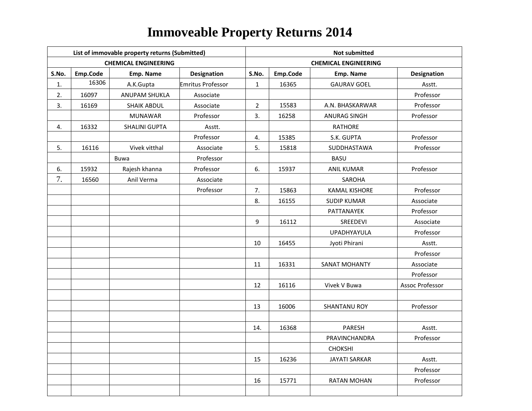|       |          | List of immovable property returns (Submitted) |                    | <b>Not submitted</b> |          |                             |                    |  |  |
|-------|----------|------------------------------------------------|--------------------|----------------------|----------|-----------------------------|--------------------|--|--|
|       |          | <b>CHEMICAL ENGINEERING</b>                    |                    |                      |          | <b>CHEMICAL ENGINEERING</b> |                    |  |  |
| S.No. | Emp.Code | Emp. Name                                      | <b>Designation</b> | S.No.                | Emp.Code | Emp. Name                   | <b>Designation</b> |  |  |
| 1.    | 16306    | A.K.Gupta                                      | Emritus Professor  | $\mathbf{1}$         | 16365    | <b>GAURAV GOEL</b>          | Asstt.             |  |  |
| 2.    | 16097    | <b>ANUPAM SHUKLA</b>                           | Associate          |                      |          |                             | Professor          |  |  |
| 3.    | 16169    | <b>SHAIK ABDUL</b>                             | Associate          | $\overline{2}$       | 15583    | A.N. BHASKARWAR             | Professor          |  |  |
|       |          | <b>MUNAWAR</b>                                 | Professor          | 3.                   | 16258    | <b>ANURAG SINGH</b>         | Professor          |  |  |
| 4.    | 16332    | <b>SHALINI GUPTA</b>                           | Asstt.             |                      |          | <b>RATHORE</b>              |                    |  |  |
|       |          |                                                | Professor          | 4.                   | 15385    | S.K. GUPTA                  | Professor          |  |  |
| 5.    | 16116    | Vivek vitthal                                  | Associate          | 5.                   | 15818    | SUDDHASTAWA                 | Professor          |  |  |
|       |          | <b>Buwa</b>                                    | Professor          |                      |          | <b>BASU</b>                 |                    |  |  |
| 6.    | 15932    | Rajesh khanna                                  | Professor          | 6.                   | 15937    | <b>ANIL KUMAR</b>           | Professor          |  |  |
| 7.    | 16560    | Anil Verma                                     | Associate          |                      |          | <b>SAROHA</b>               |                    |  |  |
|       |          |                                                | Professor          | 7.                   | 15863    | <b>KAMAL KISHORE</b>        | Professor          |  |  |
|       |          |                                                |                    | 8.                   | 16155    | <b>SUDIP KUMAR</b>          | Associate          |  |  |
|       |          |                                                |                    |                      |          | PATTANAYEK                  | Professor          |  |  |
|       |          |                                                |                    | 9                    | 16112    | SREEDEVI                    | Associate          |  |  |
|       |          |                                                |                    |                      |          | <b>UPADHYAYULA</b>          | Professor          |  |  |
|       |          |                                                |                    | 10                   | 16455    | Jyoti Phirani               | Asstt.             |  |  |
|       |          |                                                |                    |                      |          |                             | Professor          |  |  |
|       |          |                                                |                    | 11                   | 16331    | <b>SANAT MOHANTY</b>        | Associate          |  |  |
|       |          |                                                |                    |                      |          |                             | Professor          |  |  |
|       |          |                                                |                    | 12                   | 16116    | Vivek V Buwa                | Assoc Professor    |  |  |
|       |          |                                                |                    |                      |          |                             |                    |  |  |
|       |          |                                                |                    | 13                   | 16006    | <b>SHANTANU ROY</b>         | Professor          |  |  |
|       |          |                                                |                    |                      |          |                             |                    |  |  |
|       |          |                                                |                    | 14.                  | 16368    | PARESH                      | Asstt.             |  |  |
|       |          |                                                |                    |                      |          | PRAVINCHANDRA               | Professor          |  |  |
|       |          |                                                |                    |                      |          | CHOKSHI                     |                    |  |  |
|       |          |                                                |                    | 15                   | 16236    | <b>JAYATI SARKAR</b>        | Asstt.             |  |  |
|       |          |                                                |                    |                      |          |                             | Professor          |  |  |
|       |          |                                                |                    | 16                   | 15771    | <b>RATAN MOHAN</b>          | Professor          |  |  |
|       |          |                                                |                    |                      |          |                             |                    |  |  |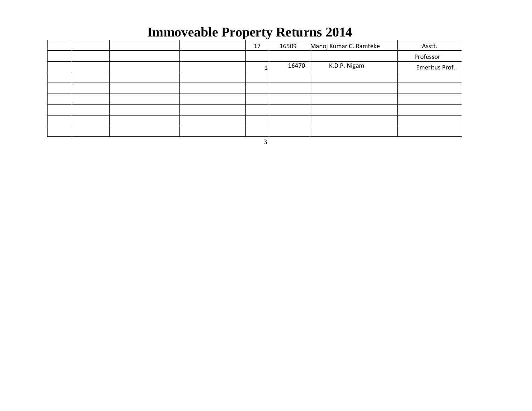|  |  | 17 | 16509 | Manoj Kumar C. Ramteke | Asstt.         |
|--|--|----|-------|------------------------|----------------|
|  |  |    |       |                        | Professor      |
|  |  |    | 16470 | K.D.P. Nigam           | Emeritus Prof. |
|  |  |    |       |                        |                |
|  |  |    |       |                        |                |
|  |  |    |       |                        |                |
|  |  |    |       |                        |                |
|  |  |    |       |                        |                |
|  |  |    |       |                        |                |

3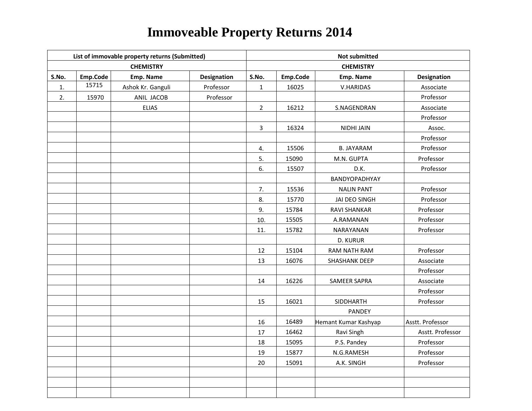|       |          | List of immovable property returns (Submitted) |             | <b>Not submitted</b> |          |                      |                    |  |
|-------|----------|------------------------------------------------|-------------|----------------------|----------|----------------------|--------------------|--|
|       |          | <b>CHEMISTRY</b>                               |             |                      |          | <b>CHEMISTRY</b>     |                    |  |
| S.No. | Emp.Code | Emp. Name                                      | Designation | S.No.                | Emp.Code | Emp. Name            | <b>Designation</b> |  |
| 1.    | 15715    | Ashok Kr. Ganguli                              | Professor   | $\mathbf{1}$         | 16025    | V.HARIDAS            | Associate          |  |
| 2.    | 15970    | ANIL JACOB                                     | Professor   |                      |          |                      | Professor          |  |
|       |          | <b>ELIAS</b>                                   |             | $\overline{2}$       | 16212    | S.NAGENDRAN          | Associate          |  |
|       |          |                                                |             |                      |          |                      | Professor          |  |
|       |          |                                                |             | $\mathbf{3}$         | 16324    | <b>NIDHI JAIN</b>    | Assoc.             |  |
|       |          |                                                |             |                      |          |                      | Professor          |  |
|       |          |                                                |             | 4.                   | 15506    | <b>B. JAYARAM</b>    | Professor          |  |
|       |          |                                                |             | 5.                   | 15090    | M.N. GUPTA           | Professor          |  |
|       |          |                                                |             | 6.                   | 15507    | D.K.                 | Professor          |  |
|       |          |                                                |             |                      |          | BANDYOPADHYAY        |                    |  |
|       |          |                                                |             | 7.                   | 15536    | <b>NALIN PANT</b>    | Professor          |  |
|       |          |                                                |             | 8.                   | 15770    | JAI DEO SINGH        | Professor          |  |
|       |          |                                                |             | 9.                   | 15784    | RAVI SHANKAR         | Professor          |  |
|       |          |                                                |             | 10.                  | 15505    | A.RAMANAN            | Professor          |  |
|       |          |                                                |             | 11.                  | 15782    | NARAYANAN            | Professor          |  |
|       |          |                                                |             |                      |          | <b>D. KURUR</b>      |                    |  |
|       |          |                                                |             | 12                   | 15104    | RAM NATH RAM         | Professor          |  |
|       |          |                                                |             | 13                   | 16076    | SHASHANK DEEP        | Associate          |  |
|       |          |                                                |             |                      |          |                      | Professor          |  |
|       |          |                                                |             | 14                   | 16226    | SAMEER SAPRA         | Associate          |  |
|       |          |                                                |             |                      |          |                      | Professor          |  |
|       |          |                                                |             | 15                   | 16021    | SIDDHARTH            | Professor          |  |
|       |          |                                                |             |                      |          | PANDEY               |                    |  |
|       |          |                                                |             | 16                   | 16489    | Hemant Kumar Kashyap | Asstt. Professor   |  |
|       |          |                                                |             | 17                   | 16462    | Ravi Singh           | Asstt. Professor   |  |
|       |          |                                                |             | 18                   | 15095    | P.S. Pandey          | Professor          |  |
|       |          |                                                |             | 19                   | 15877    | N.G.RAMESH           | Professor          |  |
|       |          |                                                |             | $20\,$               | 15091    | A.K. SINGH           | Professor          |  |
|       |          |                                                |             |                      |          |                      |                    |  |
|       |          |                                                |             |                      |          |                      |                    |  |
|       |          |                                                |             |                      |          |                      |                    |  |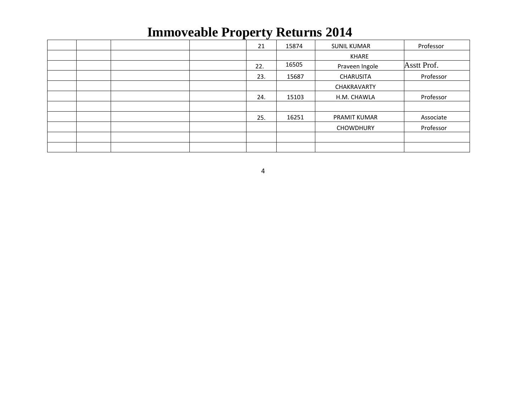|  |  | 21  | 15874 | <b>SUNIL KUMAR</b>  | Professor   |
|--|--|-----|-------|---------------------|-------------|
|  |  |     |       | KHARE               |             |
|  |  | 22. | 16505 | Praveen Ingole      | Asstt Prof. |
|  |  | 23. | 15687 | <b>CHARUSITA</b>    | Professor   |
|  |  |     |       | <b>CHAKRAVARTY</b>  |             |
|  |  | 24. | 15103 | H.M. CHAWLA         | Professor   |
|  |  |     |       |                     |             |
|  |  | 25. | 16251 | <b>PRAMIT KUMAR</b> | Associate   |
|  |  |     |       | <b>CHOWDHURY</b>    | Professor   |
|  |  |     |       |                     |             |
|  |  |     |       |                     |             |

4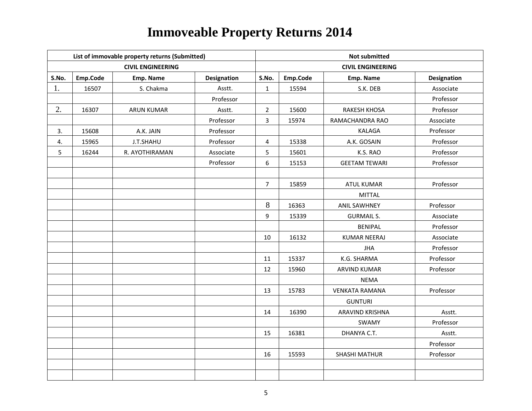|       |          | List of immovable property returns (Submitted) |                    | <b>Not submitted</b> |          |                          |                    |  |  |
|-------|----------|------------------------------------------------|--------------------|----------------------|----------|--------------------------|--------------------|--|--|
|       |          | <b>CIVIL ENGINEERING</b>                       |                    |                      |          | <b>CIVIL ENGINEERING</b> |                    |  |  |
| S.No. | Emp.Code | Emp. Name                                      | <b>Designation</b> | S.No.                | Emp.Code | Emp. Name                | <b>Designation</b> |  |  |
| 1.    | 16507    | S. Chakma                                      | Asstt.             | $\mathbf{1}$         | 15594    | S.K. DEB                 | Associate          |  |  |
|       |          |                                                | Professor          |                      |          |                          | Professor          |  |  |
| 2.    | 16307    | <b>ARUN KUMAR</b>                              | Asstt.             | $\overline{2}$       | 15600    | <b>RAKESH KHOSA</b>      | Professor          |  |  |
|       |          |                                                | Professor          | 3                    | 15974    | RAMACHANDRA RAO          | Associate          |  |  |
| 3.    | 15608    | A.K. JAIN                                      | Professor          |                      |          | <b>KALAGA</b>            | Professor          |  |  |
| 4.    | 15965    | J.T.SHAHU                                      | Professor          | 4                    | 15338    | A.K. GOSAIN              | Professor          |  |  |
| 5     | 16244    | R. AYOTHIRAMAN                                 | Associate          | 5                    | 15601    | K.S. RAO                 | Professor          |  |  |
|       |          |                                                | Professor          | 6                    | 15153    | <b>GEETAM TEWARI</b>     | Professor          |  |  |
|       |          |                                                |                    |                      |          |                          |                    |  |  |
|       |          |                                                |                    | $\overline{7}$       | 15859    | <b>ATUL KUMAR</b>        | Professor          |  |  |
|       |          |                                                |                    |                      |          | <b>MITTAL</b>            |                    |  |  |
|       |          |                                                |                    | 8                    | 16363    | <b>ANIL SAWHNEY</b>      | Professor          |  |  |
|       |          |                                                |                    | 9                    | 15339    | <b>GURMAIL S.</b>        | Associate          |  |  |
|       |          |                                                |                    |                      |          | <b>BENIPAL</b>           | Professor          |  |  |
|       |          |                                                |                    | 10                   | 16132    | <b>KUMAR NEERAJ</b>      | Associate          |  |  |
|       |          |                                                |                    |                      |          | <b>JHA</b>               | Professor          |  |  |
|       |          |                                                |                    | 11                   | 15337    | K.G. SHARMA              | Professor          |  |  |
|       |          |                                                |                    | 12                   | 15960    | <b>ARVIND KUMAR</b>      | Professor          |  |  |
|       |          |                                                |                    |                      |          | <b>NEMA</b>              |                    |  |  |
|       |          |                                                |                    | 13                   | 15783    | <b>VENKATA RAMANA</b>    | Professor          |  |  |
|       |          |                                                |                    |                      |          | <b>GUNTURI</b>           |                    |  |  |
|       |          |                                                |                    | 14                   | 16390    | ARAVIND KRISHNA          | Asstt.             |  |  |
|       |          |                                                |                    |                      |          | SWAMY                    | Professor          |  |  |
|       |          |                                                |                    | 15                   | 16381    | DHANYA C.T.              | Asstt.             |  |  |
|       |          |                                                |                    |                      |          |                          | Professor          |  |  |
|       |          |                                                |                    | 16                   | 15593    | <b>SHASHI MATHUR</b>     | Professor          |  |  |
|       |          |                                                |                    |                      |          |                          |                    |  |  |
|       |          |                                                |                    |                      |          |                          |                    |  |  |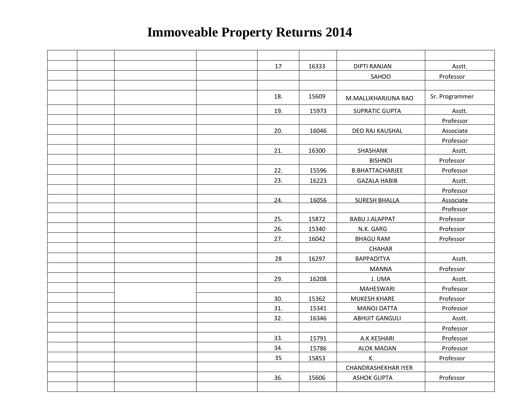|  |  | 17  | 16333 | <b>DIPTI RANJAN</b>        | Asstt.         |
|--|--|-----|-------|----------------------------|----------------|
|  |  |     |       | SAHOO                      | Professor      |
|  |  |     |       |                            |                |
|  |  | 18. | 15609 | M.MALLIKHARJUNA RAO        | Sr. Programmer |
|  |  | 19. | 15973 | <b>SUPRATIC GUPTA</b>      | Asstt.         |
|  |  |     |       |                            | Professor      |
|  |  | 20. | 16046 | DEO RAJ KAUSHAL            | Associate      |
|  |  |     |       |                            | Professor      |
|  |  | 21. | 16300 | SHASHANK                   | Asstt.         |
|  |  |     |       | <b>BISHNOI</b>             | Professor      |
|  |  | 22. | 15596 | <b>B.BHATTACHARJEE</b>     | Professor      |
|  |  | 23. | 16223 | <b>GAZALA HABIB</b>        | Asstt.         |
|  |  |     |       |                            | Professor      |
|  |  | 24. | 16056 | <b>SURESH BHALLA</b>       | Associate      |
|  |  |     |       |                            | Professor      |
|  |  | 25. | 15872 | <b>BABU J.ALAPPAT</b>      | Professor      |
|  |  | 26. | 15340 | N.K. GARG                  | Professor      |
|  |  | 27. | 16042 | <b>BHAGU RAM</b>           | Professor      |
|  |  |     |       | <b>CHAHAR</b>              |                |
|  |  | 28  | 16297 | <b>BAPPADITYA</b>          | Asstt.         |
|  |  |     |       | <b>MANNA</b>               | Professor      |
|  |  | 29. | 16208 | J. UMA                     | Asstt.         |
|  |  |     |       | <b>MAHESWARI</b>           | Professor      |
|  |  | 30. | 15362 | <b>MUKESH KHARE</b>        | Professor      |
|  |  | 31. | 15341 | <b>MANOJ DATTA</b>         | Professor      |
|  |  | 32. | 16346 | <b>ABHIJIT GANGULI</b>     | Asstt.         |
|  |  |     |       |                            | Professor      |
|  |  | 33. | 15791 | A.K.KESHARI                | Professor      |
|  |  | 34. | 15786 | <b>ALOK MADAN</b>          | Professor      |
|  |  | 35  | 15853 | К.                         | Professor      |
|  |  |     |       | <b>CHANDRASHEKHAR IYER</b> |                |
|  |  | 36. | 15606 | <b>ASHOK GUPTA</b>         | Professor      |
|  |  |     |       |                            |                |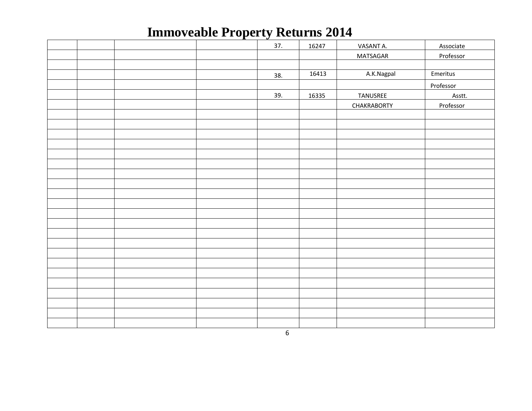|  | ᅩ | 37. | 16247 | VASANT A.          | Associate |
|--|---|-----|-------|--------------------|-----------|
|  |   |     |       | <b>MATSAGAR</b>    | Professor |
|  |   |     |       |                    |           |
|  |   | 38. | 16413 | A.K.Nagpal         | Emeritus  |
|  |   |     |       |                    | Professor |
|  |   | 39. | 16335 | TANUSREE           | Asstt.    |
|  |   |     |       | <b>CHAKRABORTY</b> | Professor |
|  |   |     |       |                    |           |
|  |   |     |       |                    |           |
|  |   |     |       |                    |           |
|  |   |     |       |                    |           |
|  |   |     |       |                    |           |
|  |   |     |       |                    |           |
|  |   |     |       |                    |           |
|  |   |     |       |                    |           |
|  |   |     |       |                    |           |
|  |   |     |       |                    |           |
|  |   |     |       |                    |           |
|  |   |     |       |                    |           |
|  |   |     |       |                    |           |
|  |   |     |       |                    |           |
|  |   |     |       |                    |           |
|  |   |     |       |                    |           |
|  |   |     |       |                    |           |
|  |   |     |       |                    |           |
|  |   |     |       |                    |           |
|  |   |     |       |                    |           |
|  |   |     |       |                    |           |
|  |   |     |       |                    |           |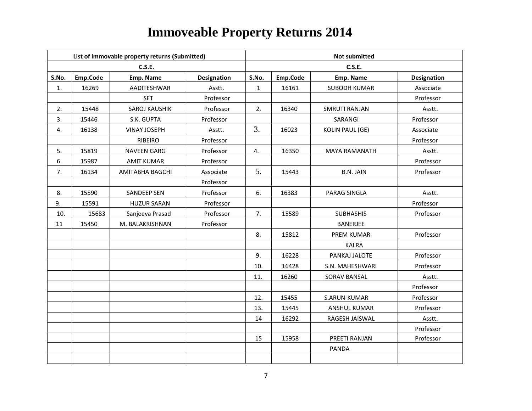|       |          | List of immovable property returns (Submitted) |                    | <b>Not submitted</b> |          |                        |                    |  |
|-------|----------|------------------------------------------------|--------------------|----------------------|----------|------------------------|--------------------|--|
|       |          | <b>C.S.E.</b>                                  |                    |                      |          | <b>C.S.E.</b>          |                    |  |
| S.No. | Emp.Code | Emp. Name                                      | <b>Designation</b> | S.No.                | Emp.Code | Emp. Name              | <b>Designation</b> |  |
| 1.    | 16269    | AADITESHWAR                                    | Asstt.             | $\mathbf{1}$         | 16161    | <b>SUBODH KUMAR</b>    | Associate          |  |
|       |          | <b>SET</b>                                     | Professor          |                      |          |                        | Professor          |  |
| 2.    | 15448    | SAROJ KAUSHIK                                  | Professor          | 2.                   | 16340    | <b>SMRUTI RANJAN</b>   | Asstt.             |  |
| 3.    | 15446    | S.K. GUPTA                                     | Professor          |                      |          | SARANGI                | Professor          |  |
| 4.    | 16138    | <b>VINAY JOSEPH</b>                            | Asstt.             | 3.                   | 16023    | <b>KOLIN PAUL (GE)</b> | Associate          |  |
|       |          | <b>RIBEIRO</b>                                 | Professor          |                      |          |                        | Professor          |  |
| 5.    | 15819    | <b>NAVEEN GARG</b>                             | Professor          | 4.                   | 16350    | <b>MAYA RAMANATH</b>   | Asstt.             |  |
| 6.    | 15987    | <b>AMIT KUMAR</b>                              | Professor          |                      |          |                        | Professor          |  |
| 7.    | 16134    | AMITABHA BAGCHI                                | Associate          | 5.                   | 15443    | <b>B.N. JAIN</b>       | Professor          |  |
|       |          |                                                | Professor          |                      |          |                        |                    |  |
| 8.    | 15590    | <b>SANDEEP SEN</b>                             | Professor          | 6.                   | 16383    | PARAG SINGLA           | Asstt.             |  |
| 9.    | 15591    | <b>HUZUR SARAN</b>                             | Professor          |                      |          |                        | Professor          |  |
| 10.   | 15683    | Sanjeeva Prasad                                | Professor          | 7.                   | 15589    | <b>SUBHASHIS</b>       | Professor          |  |
| 11    | 15450    | M. BALAKRISHNAN                                | Professor          |                      |          | <b>BANERJEE</b>        |                    |  |
|       |          |                                                |                    | 8.                   | 15812    | PREM KUMAR             | Professor          |  |
|       |          |                                                |                    |                      |          | <b>KALRA</b>           |                    |  |
|       |          |                                                |                    | 9.                   | 16228    | PANKAJ JALOTE          | Professor          |  |
|       |          |                                                |                    | 10.                  | 16428    | S.N. MAHESHWARI        | Professor          |  |
|       |          |                                                |                    | 11.                  | 16260    | <b>SORAV BANSAL</b>    | Asstt.             |  |
|       |          |                                                |                    |                      |          |                        | Professor          |  |
|       |          |                                                |                    | 12.                  | 15455    | S.ARUN-KUMAR           | Professor          |  |
|       |          |                                                |                    | 13.                  | 15445    | ANSHUL KUMAR           | Professor          |  |
|       |          |                                                |                    | 14                   | 16292    | RAGESH JAISWAL         | Asstt.             |  |
|       |          |                                                |                    |                      |          |                        | Professor          |  |
|       |          |                                                |                    | 15                   | 15958    | PREETI RANJAN          | Professor          |  |
|       |          |                                                |                    |                      |          | <b>PANDA</b>           |                    |  |
|       |          |                                                |                    |                      |          |                        |                    |  |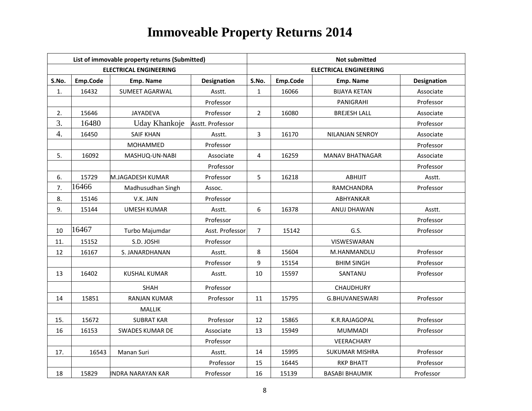|                  |          | List of immovable property returns (Submitted) |                    | <b>Not submitted</b> |          |                               |                    |  |  |
|------------------|----------|------------------------------------------------|--------------------|----------------------|----------|-------------------------------|--------------------|--|--|
|                  |          | <b>ELECTRICAL ENGINEERING</b>                  |                    |                      |          | <b>ELECTRICAL ENGINEERING</b> |                    |  |  |
| S.No.            | Emp.Code | Emp. Name                                      | <b>Designation</b> | S.No.                | Emp.Code | Emp. Name                     | <b>Designation</b> |  |  |
| 1.               | 16432    | <b>SUMEET AGARWAL</b>                          | Asstt.             | $\mathbf{1}$         | 16066    | <b>BIJAYA KETAN</b>           | Associate          |  |  |
|                  |          |                                                | Professor          |                      |          | PANIGRAHI                     | Professor          |  |  |
| 2.               | 15646    | <b>JAYADEVA</b>                                | Professor          | $2^{\circ}$          | 16080    | <b>BREJESH LALL</b>           | Associate          |  |  |
| 3.               | 16480    | Uday Khankoje                                  | Asstt. Professor   |                      |          |                               | Professor          |  |  |
| $\overline{4}$ . | 16450    | <b>SAIF KHAN</b>                               | Asstt.             | 3                    | 16170    | NILANJAN SENROY               | Associate          |  |  |
|                  |          | MOHAMMED                                       | Professor          |                      |          |                               | Professor          |  |  |
| 5.               | 16092    | MASHUQ-UN-NABI                                 | Associate          | 4                    | 16259    | <b>MANAV BHATNAGAR</b>        | Associate          |  |  |
|                  |          |                                                | Professor          |                      |          |                               | Professor          |  |  |
| 6.               | 15729    | M.JAGADESH KUMAR                               | Professor          | 5                    | 16218    | <b>ABHIJIT</b>                | Asstt.             |  |  |
| 7.               | 16466    | Madhusudhan Singh                              | Assoc.             |                      |          | <b>RAMCHANDRA</b>             | Professor          |  |  |
| 8.               | 15146    | V.K. JAIN                                      | Professor          |                      |          | <b>ABHYANKAR</b>              |                    |  |  |
| 9.               | 15144    | <b>UMESH KUMAR</b>                             | Asstt.             | 6                    | 16378    | ANUJ DHAWAN                   | Asstt.             |  |  |
|                  |          |                                                | Professor          |                      |          |                               | Professor          |  |  |
| 10               | 16467    | Turbo Majumdar                                 | Asst. Professor    | $\overline{7}$       | 15142    | G.S.                          | Professor          |  |  |
| 11.              | 15152    | S.D. JOSHI                                     | Professor          |                      |          | VISWESWARAN                   |                    |  |  |
| 12               | 16167    | S. JANARDHANAN                                 | Asstt.             | 8                    | 15604    | M.HANMANDLU                   | Professor          |  |  |
|                  |          |                                                | Professor          | 9                    | 15154    | <b>BHIM SINGH</b>             | Professor          |  |  |
| 13               | 16402    | <b>KUSHAL KUMAR</b>                            | Asstt.             | 10                   | 15597    | SANTANU                       | Professor          |  |  |
|                  |          | <b>SHAH</b>                                    | Professor          |                      |          | CHAUDHURY                     |                    |  |  |
| 14               | 15851    | <b>RANJAN KUMAR</b>                            | Professor          | 11                   | 15795    | G.BHUVANESWARI                | Professor          |  |  |
|                  |          | <b>MALLIK</b>                                  |                    |                      |          |                               |                    |  |  |
| 15.              | 15672    | <b>SUBRAT KAR</b>                              | Professor          | 12                   | 15865    | K.R.RAJAGOPAL                 | Professor          |  |  |
| 16               | 16153    | <b>SWADES KUMAR DE</b>                         | Associate          | 13                   | 15949    | <b>MUMMADI</b>                | Professor          |  |  |
|                  |          |                                                | Professor          |                      |          | <b>VEERACHARY</b>             |                    |  |  |
| 17.              | 16543    | Manan Suri                                     | Asstt.             | 14                   | 15995    | SUKUMAR MISHRA                | Professor          |  |  |
|                  |          |                                                | Professor          | 15                   | 16445    | <b>RKP BHATT</b>              | Professor          |  |  |
| 18               | 15829    | INDRA NARAYAN KAR                              | Professor          | 16                   | 15139    | <b>BASABI BHAUMIK</b>         | Professor          |  |  |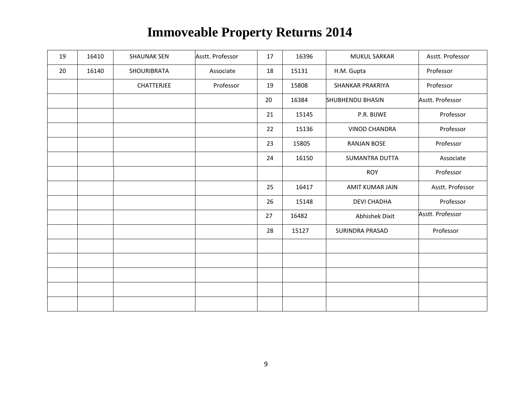| 19 | 16410 | <b>SHAUNAK SEN</b> | Asstt. Professor | 17 | 16396 | <b>MUKUL SARKAR</b>     | Asstt. Professor |
|----|-------|--------------------|------------------|----|-------|-------------------------|------------------|
| 20 | 16140 | <b>SHOURIBRATA</b> | Associate        | 18 | 15131 | H.M. Gupta              | Professor        |
|    |       | <b>CHATTERJEE</b>  | Professor        | 19 | 15808 | <b>SHANKAR PRAKRIYA</b> | Professor        |
|    |       |                    |                  | 20 | 16384 | <b>SHUBHENDU BHASIN</b> | Asstt. Professor |
|    |       |                    |                  | 21 | 15145 | P.R. BIJWE              | Professor        |
|    |       |                    |                  | 22 | 15136 | <b>VINOD CHANDRA</b>    | Professor        |
|    |       |                    |                  | 23 | 15805 | <b>RANJAN BOSE</b>      | Professor        |
|    |       |                    |                  | 24 | 16150 | <b>SUMANTRA DUTTA</b>   | Associate        |
|    |       |                    |                  |    |       | <b>ROY</b>              | Professor        |
|    |       |                    |                  | 25 | 16417 | AMIT KUMAR JAIN         | Asstt. Professor |
|    |       |                    |                  | 26 | 15148 | <b>DEVI CHADHA</b>      | Professor        |
|    |       |                    |                  | 27 | 16482 | <b>Abhishek Dixit</b>   | Asstt. Professor |
|    |       |                    |                  | 28 | 15127 | <b>SURINDRA PRASAD</b>  | Professor        |
|    |       |                    |                  |    |       |                         |                  |
|    |       |                    |                  |    |       |                         |                  |
|    |       |                    |                  |    |       |                         |                  |
|    |       |                    |                  |    |       |                         |                  |
|    |       |                    |                  |    |       |                         |                  |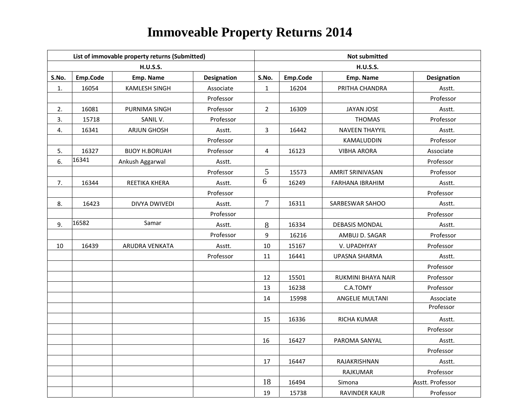|       |          | List of immovable property returns (Submitted) |             | <b>Not submitted</b> |          |                           |                    |  |  |
|-------|----------|------------------------------------------------|-------------|----------------------|----------|---------------------------|--------------------|--|--|
|       |          | <b>H.U.S.S.</b>                                |             |                      |          | <b>H.U.S.S.</b>           |                    |  |  |
| S.No. | Emp.Code | Emp. Name                                      | Designation | S.No.                | Emp.Code | Emp. Name                 | <b>Designation</b> |  |  |
| 1.    | 16054    | <b>KAMLESH SINGH</b>                           | Associate   | $\mathbf{1}$         | 16204    | PRITHA CHANDRA            | Asstt.             |  |  |
|       |          |                                                | Professor   |                      |          |                           | Professor          |  |  |
| 2.    | 16081    | PURNIMA SINGH                                  | Professor   | $\overline{2}$       | 16309    | JAYAN JOSE                | Asstt.             |  |  |
| 3.    | 15718    | SANIL V.                                       | Professor   |                      |          | <b>THOMAS</b>             | Professor          |  |  |
| 4.    | 16341    | <b>ARJUN GHOSH</b>                             | Asstt.      | 3                    | 16442    | <b>NAVEEN THAYYIL</b>     | Asstt.             |  |  |
|       |          |                                                | Professor   |                      |          | KAMALUDDIN                | Professor          |  |  |
| 5.    | 16327    | <b>BIJOY H.BORUAH</b>                          | Professor   | 4                    | 16123    | <b>VIBHA ARORA</b>        | Associate          |  |  |
| 6.    | 16341    | Ankush Aggarwal                                | Asstt.      |                      |          |                           | Professor          |  |  |
|       |          |                                                | Professor   | 5                    | 15573    | AMRIT SRINIVASAN          | Professor          |  |  |
| 7.    | 16344    | REETIKA KHERA                                  | Asstt.      | 6                    | 16249    | FARHANA IBRAHIM           | Asstt.             |  |  |
|       |          |                                                | Professor   |                      |          |                           | Professor          |  |  |
| 8.    | 16423    | <b>DIVYA DWIVEDI</b>                           | Asstt.      | $\tau$               | 16311    | SARBESWAR SAHOO           | Asstt.             |  |  |
|       |          |                                                | Professor   |                      |          |                           | Professor          |  |  |
| 9.    | 16582    | Samar                                          | Asstt.      | 8                    | 16334    | <b>DEBASIS MONDAL</b>     | Asstt.             |  |  |
|       |          |                                                | Professor   | 9                    | 16216    | AMBUJ D. SAGAR            | Professor          |  |  |
| 10    | 16439    | ARUDRA VENKATA                                 | Asstt.      | $10\,$               | 15167    | V. UPADHYAY               | Professor          |  |  |
|       |          |                                                | Professor   | 11                   | 16441    | <b>UPASNA SHARMA</b>      | Asstt.             |  |  |
|       |          |                                                |             |                      |          |                           | Professor          |  |  |
|       |          |                                                |             | 12                   | 15501    | <b>RUKMINI BHAYA NAIR</b> | Professor          |  |  |
|       |          |                                                |             | 13                   | 16238    | C.A.TOMY                  | Professor          |  |  |
|       |          |                                                |             | 14                   | 15998    | <b>ANGELIE MULTANI</b>    | Associate          |  |  |
|       |          |                                                |             |                      |          |                           | Professor          |  |  |
|       |          |                                                |             | 15                   | 16336    | RICHA KUMAR               | Asstt.             |  |  |
|       |          |                                                |             |                      |          |                           | Professor          |  |  |
|       |          |                                                |             | 16                   | 16427    | PAROMA SANYAL             | Asstt.             |  |  |
|       |          |                                                |             |                      |          |                           | Professor          |  |  |
|       |          |                                                |             | 17                   | 16447    | RAJAKRISHNAN              | Asstt.             |  |  |
|       |          |                                                |             |                      |          | RAJKUMAR                  | Professor          |  |  |
|       |          |                                                |             | 18                   | 16494    | Simona                    | Asstt. Professor   |  |  |
|       |          |                                                |             | 19                   | 15738    | <b>RAVINDER KAUR</b>      | Professor          |  |  |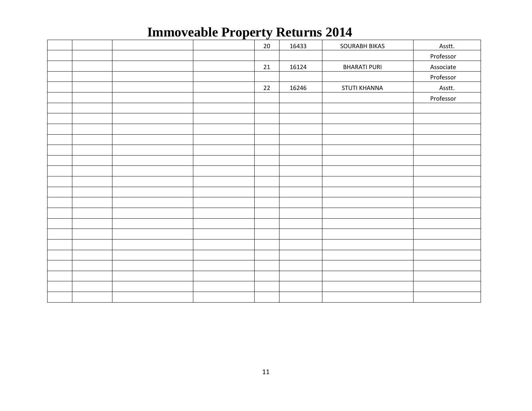|  |  | ะ    |       |                      |           |
|--|--|------|-------|----------------------|-----------|
|  |  | 20   | 16433 | <b>SOURABH BIKAS</b> | Asstt.    |
|  |  |      |       |                      | Professor |
|  |  | 21   | 16124 | <b>BHARATI PURI</b>  | Associate |
|  |  |      |       |                      | Professor |
|  |  | $22$ | 16246 | <b>STUTI KHANNA</b>  | Asstt.    |
|  |  |      |       |                      | Professor |
|  |  |      |       |                      |           |
|  |  |      |       |                      |           |
|  |  |      |       |                      |           |
|  |  |      |       |                      |           |
|  |  |      |       |                      |           |
|  |  |      |       |                      |           |
|  |  |      |       |                      |           |
|  |  |      |       |                      |           |
|  |  |      |       |                      |           |
|  |  |      |       |                      |           |
|  |  |      |       |                      |           |
|  |  |      |       |                      |           |
|  |  |      |       |                      |           |
|  |  |      |       |                      |           |
|  |  |      |       |                      |           |
|  |  |      |       |                      |           |
|  |  |      |       |                      |           |
|  |  |      |       |                      |           |
|  |  |      |       |                      |           |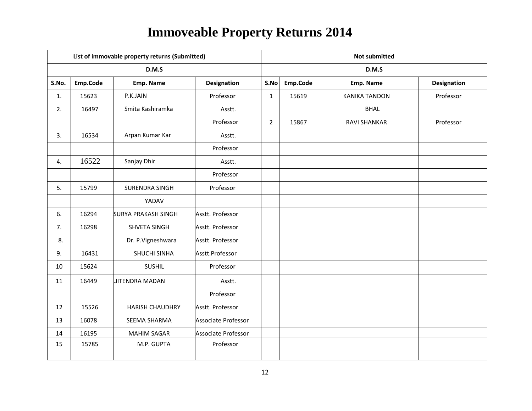|       |          | List of immovable property returns (Submitted) |                     | <b>Not submitted</b> |          |                      |             |  |
|-------|----------|------------------------------------------------|---------------------|----------------------|----------|----------------------|-------------|--|
|       |          | D.M.S                                          |                     |                      |          | D.M.S                |             |  |
| S.No. | Emp.Code | Emp. Name                                      | <b>Designation</b>  | S.No                 | Emp.Code | Emp. Name            | Designation |  |
| 1.    | 15623    | P.K.JAIN                                       | Professor           | $\mathbf{1}$         | 15619    | <b>KANIKA TANDON</b> | Professor   |  |
| 2.    | 16497    | Smita Kashiramka                               | Asstt.              |                      |          | <b>BHAL</b>          |             |  |
|       |          |                                                | Professor           | $\overline{2}$       | 15867    | <b>RAVI SHANKAR</b>  | Professor   |  |
| 3.    | 16534    | Arpan Kumar Kar                                | Asstt.              |                      |          |                      |             |  |
|       |          |                                                | Professor           |                      |          |                      |             |  |
| 4.    | 16522    | Sanjay Dhir                                    | Asstt.              |                      |          |                      |             |  |
|       |          |                                                | Professor           |                      |          |                      |             |  |
| 5.    | 15799    | SURENDRA SINGH                                 | Professor           |                      |          |                      |             |  |
|       |          | YADAV                                          |                     |                      |          |                      |             |  |
| 6.    | 16294    | <b>SURYA PRAKASH SINGH</b>                     | Asstt. Professor    |                      |          |                      |             |  |
| 7.    | 16298    | SHVETA SINGH                                   | Asstt. Professor    |                      |          |                      |             |  |
| 8.    |          | Dr. P.Vigneshwara                              | Asstt. Professor    |                      |          |                      |             |  |
| 9.    | 16431    | SHUCHI SINHA                                   | Asstt.Professor     |                      |          |                      |             |  |
| 10    | 15624    | <b>SUSHIL</b>                                  | Professor           |                      |          |                      |             |  |
| 11    | 16449    | JITENDRA MADAN                                 | Asstt.              |                      |          |                      |             |  |
|       |          |                                                | Professor           |                      |          |                      |             |  |
| 12    | 15526    | <b>HARISH CHAUDHRY</b>                         | Asstt. Professor    |                      |          |                      |             |  |
| 13    | 16078    | SEEMA SHARMA                                   | Associate Professor |                      |          |                      |             |  |
| 14    | 16195    | <b>MAHIM SAGAR</b>                             | Associate Professor |                      |          |                      |             |  |
| 15    | 15785    | M.P. GUPTA                                     | Professor           |                      |          |                      |             |  |
|       |          |                                                |                     |                      |          |                      |             |  |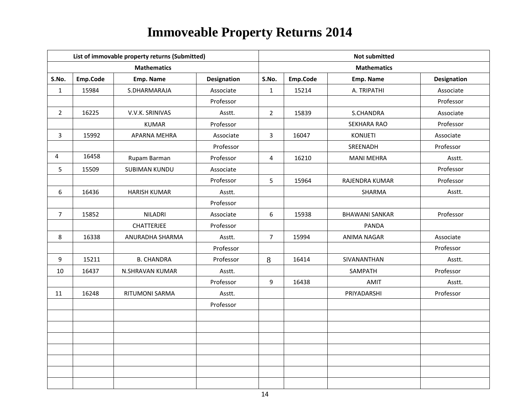|                |          | List of immovable property returns (Submitted) |                    | <b>Not submitted</b> |          |                       |                    |  |
|----------------|----------|------------------------------------------------|--------------------|----------------------|----------|-----------------------|--------------------|--|
|                |          | <b>Mathematics</b>                             |                    |                      |          | <b>Mathematics</b>    |                    |  |
| S.No.          | Emp.Code | Emp. Name                                      | <b>Designation</b> | S.No.                | Emp.Code | Emp. Name             | <b>Designation</b> |  |
| $\mathbf{1}$   | 15984    | S.DHARMARAJA                                   | Associate          | $\mathbf{1}$         | 15214    | A. TRIPATHI           | Associate          |  |
|                |          |                                                | Professor          |                      |          |                       | Professor          |  |
| $\overline{2}$ | 16225    | V.V.K. SRINIVAS                                | Asstt.             | $\overline{2}$       | 15839    | S.CHANDRA             | Associate          |  |
|                |          | <b>KUMAR</b>                                   | Professor          |                      |          | <b>SEKHARA RAO</b>    | Professor          |  |
| 3              | 15992    | APARNA MEHRA                                   | Associate          | $\overline{3}$       | 16047    | <b>KONIJETI</b>       | Associate          |  |
|                |          |                                                | Professor          |                      |          | SREENADH              | Professor          |  |
| 4              | 16458    | Rupam Barman                                   | Professor          | 4                    | 16210    | <b>MANI MEHRA</b>     | Asstt.             |  |
| 5              | 15509    | <b>SUBIMAN KUNDU</b>                           | Associate          |                      |          |                       | Professor          |  |
|                |          |                                                | Professor          | 5                    | 15964    | RAJENDRA KUMAR        | Professor          |  |
| 6              | 16436    | <b>HARISH KUMAR</b>                            | Asstt.             |                      |          | SHARMA                | Asstt.             |  |
|                |          |                                                | Professor          |                      |          |                       |                    |  |
| $\overline{7}$ | 15852    | <b>NILADRI</b>                                 | Associate          | 6                    | 15938    | <b>BHAWANI SANKAR</b> | Professor          |  |
|                |          | <b>CHATTERJEE</b>                              | Professor          |                      |          | <b>PANDA</b>          |                    |  |
| 8              | 16338    | ANURADHA SHARMA                                | Asstt.             | $\overline{7}$       | 15994    | <b>ANIMA NAGAR</b>    | Associate          |  |
|                |          |                                                | Professor          |                      |          |                       | Professor          |  |
| 9              | 15211    | <b>B. CHANDRA</b>                              | Professor          | 8                    | 16414    | SIVANANTHAN           | Asstt.             |  |
| 10             | 16437    | N.SHRAVAN KUMAR                                | Asstt.             |                      |          | SAMPATH               | Professor          |  |
|                |          |                                                | Professor          | 9                    | 16438    | AMIT                  | Asstt.             |  |
| 11             | 16248    | RITUMONI SARMA                                 | Asstt.             |                      |          | PRIYADARSHI           | Professor          |  |
|                |          |                                                | Professor          |                      |          |                       |                    |  |
|                |          |                                                |                    |                      |          |                       |                    |  |
|                |          |                                                |                    |                      |          |                       |                    |  |
|                |          |                                                |                    |                      |          |                       |                    |  |
|                |          |                                                |                    |                      |          |                       |                    |  |
|                |          |                                                |                    |                      |          |                       |                    |  |
|                |          |                                                |                    |                      |          |                       |                    |  |
|                |          |                                                |                    |                      |          |                       |                    |  |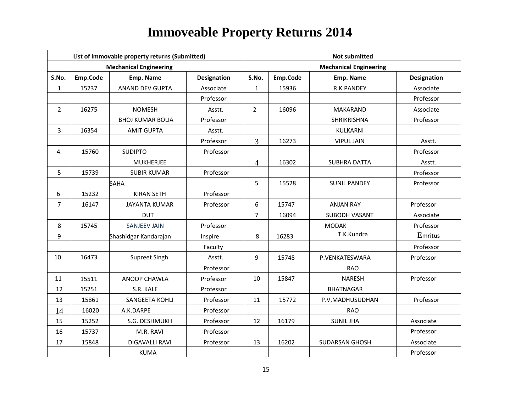|                |          | List of immovable property returns (Submitted) |                    | <b>Not submitted</b> |          |                               |                    |  |  |
|----------------|----------|------------------------------------------------|--------------------|----------------------|----------|-------------------------------|--------------------|--|--|
|                |          | <b>Mechanical Engineering</b>                  |                    |                      |          | <b>Mechanical Engineering</b> |                    |  |  |
| S.No.          | Emp.Code | Emp. Name                                      | <b>Designation</b> | S.No.                | Emp.Code | Emp. Name                     | <b>Designation</b> |  |  |
| $\mathbf{1}$   | 15237    | ANAND DEV GUPTA                                | Associate          | $\mathbf{1}$         | 15936    | R.K.PANDEY                    | Associate          |  |  |
|                |          |                                                | Professor          |                      |          |                               | Professor          |  |  |
| $\overline{2}$ | 16275    | <b>NOMESH</b>                                  | Asstt.             | $\overline{2}$       | 16096    | <b>MAKARAND</b>               | Associate          |  |  |
|                |          | <b>BHOJ KUMAR BOLIA</b>                        | Professor          |                      |          | <b>SHRIKRISHNA</b>            | Professor          |  |  |
| 3              | 16354    | <b>AMIT GUPTA</b>                              | Asstt.             |                      |          | KULKARNI                      |                    |  |  |
|                |          |                                                | Professor          | $\overline{3}$       | 16273    | <b>VIPUL JAIN</b>             | Asstt.             |  |  |
| 4.             | 15760    | <b>SUDIPTO</b>                                 | Professor          |                      |          |                               | Professor          |  |  |
|                |          | <b>MUKHERJEE</b>                               |                    | $\overline{4}$       | 16302    | <b>SUBHRA DATTA</b>           | Asstt.             |  |  |
| 5              | 15739    | <b>SUBIR KUMAR</b>                             | Professor          |                      |          |                               | Professor          |  |  |
|                |          | SAHA                                           |                    | 5                    | 15528    | <b>SUNIL PANDEY</b>           | Professor          |  |  |
| 6              | 15232    | <b>KIRAN SETH</b>                              | Professor          |                      |          |                               |                    |  |  |
| $\overline{7}$ | 16147    | <b>JAYANTA KUMAR</b>                           | Professor          | 6                    | 15747    | <b>ANJAN RAY</b>              | Professor          |  |  |
|                |          | <b>DUT</b>                                     |                    | 7                    | 16094    | <b>SUBODH VASANT</b>          | Associate          |  |  |
| 8              | 15745    | <b>SANJEEV JAIN</b>                            | Professor          |                      |          | <b>MODAK</b>                  | Professor          |  |  |
| 9              |          | Shashidgar Kandarajan                          | Inspire            | 8                    | 16283    | T.K.Kundra                    | Emritus            |  |  |
|                |          |                                                | Faculty            |                      |          |                               | Professor          |  |  |
| 10             | 16473    | Supreet Singh                                  | Asstt.             | 9                    | 15748    | P.VENKATESWARA                | Professor          |  |  |
|                |          |                                                | Professor          |                      |          | <b>RAO</b>                    |                    |  |  |
| 11             | 15511    | ANOOP CHAWLA                                   | Professor          | 10                   | 15847    | <b>NARESH</b>                 | Professor          |  |  |
| 12             | 15251    | S.R. KALE                                      | Professor          |                      |          | <b>BHATNAGAR</b>              |                    |  |  |
| 13             | 15861    | SANGEETA KOHLI                                 | Professor          | 11                   | 15772    | P.V.MADHUSUDHAN               | Professor          |  |  |
| 14             | 16020    | A.K.DARPE                                      | Professor          |                      |          | <b>RAO</b>                    |                    |  |  |
| 15             | 15252    | S.G. DESHMUKH                                  | Professor          | 12                   | 16179    | <b>SUNIL JHA</b>              | Associate          |  |  |
| 16             | 15737    | M.R. RAVI                                      | Professor          |                      |          |                               | Professor          |  |  |
| 17             | 15848    | <b>DIGAVALLI RAVI</b>                          | Professor          | 13                   | 16202    | SUDARSAN GHOSH                | Associate          |  |  |
|                |          | <b>KUMA</b>                                    |                    |                      |          |                               | Professor          |  |  |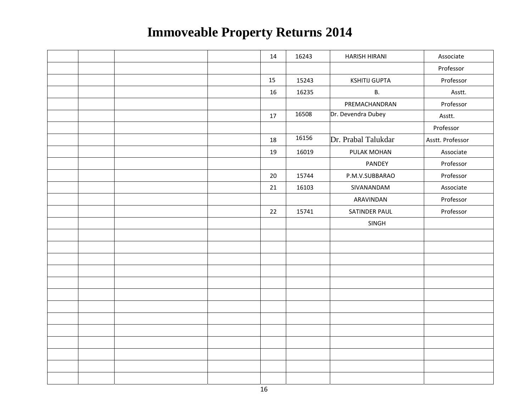|  |  | 14 | 16243 | <b>HARISH HIRANI</b> | Associate        |
|--|--|----|-------|----------------------|------------------|
|  |  |    |       |                      | Professor        |
|  |  | 15 | 15243 | <b>KSHITIJ GUPTA</b> | Professor        |
|  |  | 16 | 16235 | <b>B.</b>            | Asstt.           |
|  |  |    |       | PREMACHANDRAN        | Professor        |
|  |  | 17 | 16508 | Dr. Devendra Dubey   | Asstt.           |
|  |  |    |       |                      | Professor        |
|  |  | 18 | 16156 | Dr. Prabal Talukdar  | Asstt. Professor |
|  |  | 19 | 16019 | PULAK MOHAN          | Associate        |
|  |  |    |       | PANDEY               | Professor        |
|  |  | 20 | 15744 | P.M.V.SUBBARAO       | Professor        |
|  |  | 21 | 16103 | SIVANANDAM           | Associate        |
|  |  |    |       | ARAVINDAN            | Professor        |
|  |  | 22 | 15741 | SATINDER PAUL        | Professor        |
|  |  |    |       | SINGH                |                  |
|  |  |    |       |                      |                  |
|  |  |    |       |                      |                  |
|  |  |    |       |                      |                  |
|  |  |    |       |                      |                  |
|  |  |    |       |                      |                  |
|  |  |    |       |                      |                  |
|  |  |    |       |                      |                  |
|  |  |    |       |                      |                  |
|  |  |    |       |                      |                  |
|  |  |    |       |                      |                  |
|  |  |    |       |                      |                  |
|  |  |    |       |                      |                  |
|  |  |    |       |                      |                  |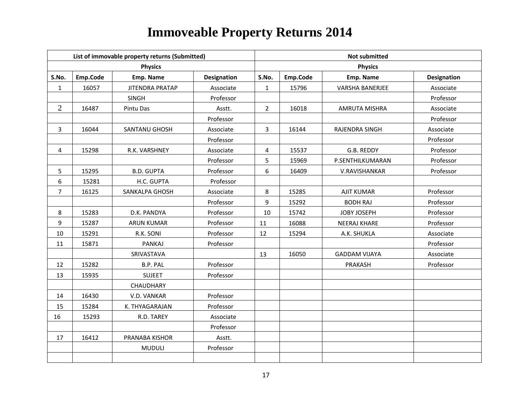|                  |          | List of immovable property returns (Submitted) |             |                | <b>Not submitted</b> |                        |                    |  |  |
|------------------|----------|------------------------------------------------|-------------|----------------|----------------------|------------------------|--------------------|--|--|
|                  |          | <b>Physics</b>                                 |             |                |                      | <b>Physics</b>         |                    |  |  |
| S.No.            | Emp.Code | Emp. Name                                      | Designation | S.No.          | Emp.Code             | Emp. Name              | <b>Designation</b> |  |  |
| $\mathbf 1$      | 16057    | <b>JITENDRA PRATAP</b>                         | Associate   | $\mathbf{1}$   | 15796                | <b>VARSHA BANERJEE</b> | Associate          |  |  |
|                  |          | SINGH                                          | Professor   |                |                      |                        | Professor          |  |  |
| $\overline{2}$   | 16487    | Pintu Das                                      | Asstt.      | $\overline{2}$ | 16018                | <b>AMRUTA MISHRA</b>   | Associate          |  |  |
|                  |          |                                                | Professor   |                |                      |                        | Professor          |  |  |
| $\overline{3}$   | 16044    | SANTANU GHOSH                                  | Associate   | $\overline{3}$ | 16144                | RAJENDRA SINGH         | Associate          |  |  |
|                  |          |                                                | Professor   |                |                      |                        | Professor          |  |  |
| 4                | 15298    | R.K. VARSHNEY                                  | Associate   | 4              | 15537                | G.B. REDDY             | Professor          |  |  |
|                  |          |                                                | Professor   | 5              | 15969                | P.SENTHILKUMARAN       | Professor          |  |  |
| 5                | 15295    | <b>B.D. GUPTA</b>                              | Professor   | 6              | 16409                | V.RAVISHANKAR          | Professor          |  |  |
| $\boldsymbol{6}$ | 15281    | H.C. GUPTA                                     | Professor   |                |                      |                        |                    |  |  |
| $\overline{7}$   | 16125    | SANKALPA GHOSH                                 | Associate   | 8              | 15285                | <b>AJIT KUMAR</b>      | Professor          |  |  |
|                  |          |                                                | Professor   | 9              | 15292                | <b>BODH RAJ</b>        | Professor          |  |  |
| 8                | 15283    | D.K. PANDYA                                    | Professor   | 10             | 15742                | JOBY JOSEPH            | Professor          |  |  |
| 9                | 15287    | <b>ARUN KUMAR</b>                              | Professor   | 11             | 16088                | <b>NEERAJ KHARE</b>    | Professor          |  |  |
| 10               | 15291    | R.K. SONI                                      | Professor   | 12             | 15294                | A.K. SHUKLA            | Associate          |  |  |
| 11               | 15871    | <b>PANKAJ</b>                                  | Professor   |                |                      |                        | Professor          |  |  |
|                  |          | SRIVASTAVA                                     |             | 13             | 16050                | <b>GADDAM VIJAYA</b>   | Associate          |  |  |
| 12               | 15282    | <b>B.P. PAL</b>                                | Professor   |                |                      | PRAKASH                | Professor          |  |  |
| 13               | 15935    | <b>SUJEET</b>                                  | Professor   |                |                      |                        |                    |  |  |
|                  |          | CHAUDHARY                                      |             |                |                      |                        |                    |  |  |
| 14               | 16430    | V.D. VANKAR                                    | Professor   |                |                      |                        |                    |  |  |
| 15               | 15284    | K. THYAGARAJAN                                 | Professor   |                |                      |                        |                    |  |  |
| 16               | 15293    | R.D. TAREY                                     | Associate   |                |                      |                        |                    |  |  |
|                  |          |                                                | Professor   |                |                      |                        |                    |  |  |
| 17               | 16412    | PRANABA KISHOR                                 | Asstt.      |                |                      |                        |                    |  |  |
|                  |          | <b>MUDULI</b>                                  | Professor   |                |                      |                        |                    |  |  |
|                  |          |                                                |             |                |                      |                        |                    |  |  |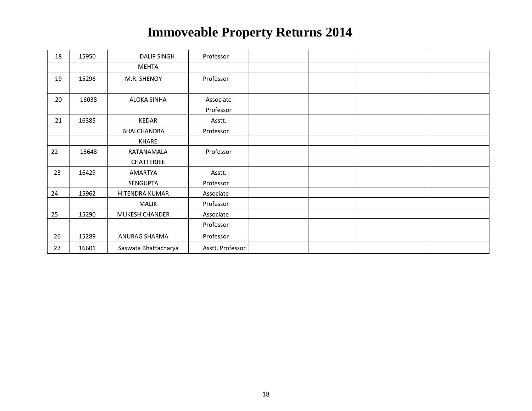| 18 | 15950 | <b>DALIP SINGH</b>    | Professor        |  |  |
|----|-------|-----------------------|------------------|--|--|
|    |       | <b>MEHTA</b>          |                  |  |  |
| 19 | 15296 | M.R. SHENOY           | Professor        |  |  |
|    |       |                       |                  |  |  |
| 20 | 16038 | <b>ALOKA SINHA</b>    | Associate        |  |  |
|    |       |                       | Professor        |  |  |
| 21 | 16385 | KEDAR                 | Asstt.           |  |  |
|    |       | BHALCHANDRA           | Professor        |  |  |
|    |       | KHARE                 |                  |  |  |
| 22 | 15648 | RATANAMALA            | Professor        |  |  |
|    |       | <b>CHATTERJEE</b>     |                  |  |  |
| 23 | 16429 | AMARTYA               | Asstt.           |  |  |
|    |       | SENGUPTA              | Professor        |  |  |
| 24 | 15962 | HITENDRA KUMAR        | Associate        |  |  |
|    |       | <b>MALIK</b>          | Professor        |  |  |
| 25 | 15290 | <b>MUKESH CHANDER</b> | Associate        |  |  |
|    |       |                       | Professor        |  |  |
| 26 | 15289 | ANURAG SHARMA         | Professor        |  |  |
| 27 | 16601 | Saswata Bhattacharya  | Asstt. Professor |  |  |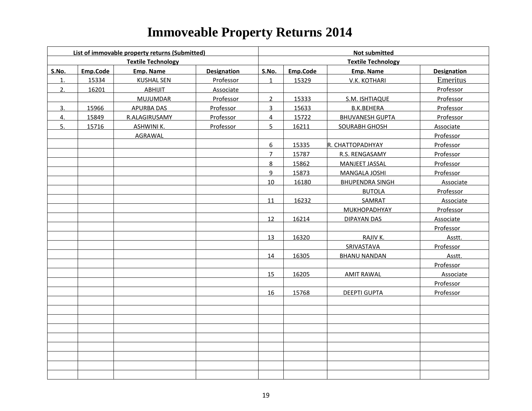|       |          | List of immovable property returns (Submitted) |                    | <b>Not submitted</b> |          |                           |                    |  |  |
|-------|----------|------------------------------------------------|--------------------|----------------------|----------|---------------------------|--------------------|--|--|
|       |          | <b>Textile Technology</b>                      |                    |                      |          | <b>Textile Technology</b> |                    |  |  |
| S.No. | Emp.Code | Emp. Name                                      | <b>Designation</b> | S.No.                | Emp.Code | Emp. Name                 | <b>Designation</b> |  |  |
| 1.    | 15334    | <b>KUSHAL SEN</b>                              | Professor          | $\mathbf{1}$         | 15329    | V.K. KOTHARI              | Emeritus           |  |  |
| 2.    | 16201    | ABHIJIT                                        | Associate          |                      |          |                           | Professor          |  |  |
|       |          | MUJUMDAR                                       | Professor          | $2^{\circ}$          | 15333    | S.M. ISHTIAQUE            | Professor          |  |  |
| 3.    | 15966    | APURBA DAS                                     | Professor          | $\overline{3}$       | 15633    | <b>B.K.BEHERA</b>         | Professor          |  |  |
| 4.    | 15849    | R.ALAGIRUSAMY                                  | Professor          | $\overline{4}$       | 15722    | <b>BHUVANESH GUPTA</b>    | <b>Professor</b>   |  |  |
| 5.    | 15716    | <b>ASHWINI K.</b>                              | Professor          | 5                    | 16211    | <b>SOURABH GHOSH</b>      | Associate          |  |  |
|       |          | AGRAWAL                                        |                    |                      |          |                           | Professor          |  |  |
|       |          |                                                |                    | $6\overline{6}$      | 15335    | R. CHATTOPADHYAY          | Professor          |  |  |
|       |          |                                                |                    | $\overline{7}$       | 15787    | R.S. RENGASAMY            | Professor          |  |  |
|       |          |                                                |                    | 8                    | 15862    | <b>MANJEET JASSAL</b>     | Professor          |  |  |
|       |          |                                                |                    | 9                    | 15873    | <b>MANGALA JOSHI</b>      | Professor          |  |  |
|       |          |                                                |                    | 10                   | 16180    | <b>BHUPENDRA SINGH</b>    | Associate          |  |  |
|       |          |                                                |                    |                      |          | <b>BUTOLA</b>             | Professor          |  |  |
|       |          |                                                |                    | 11                   | 16232    | SAMRAT                    | Associate          |  |  |
|       |          |                                                |                    |                      |          | <b>MUKHOPADHYAY</b>       | Professor          |  |  |
|       |          |                                                |                    | 12                   | 16214    | <b>DIPAYAN DAS</b>        | Associate          |  |  |
|       |          |                                                |                    |                      |          |                           | Professor          |  |  |
|       |          |                                                |                    | 13                   | 16320    | RAJIV K.                  | Asstt.             |  |  |
|       |          |                                                |                    |                      |          | SRIVASTAVA                | Professor          |  |  |
|       |          |                                                |                    | 14                   | 16305    | <b>BHANU NANDAN</b>       | Asstt.             |  |  |
|       |          |                                                |                    |                      |          |                           | Professor          |  |  |
|       |          |                                                |                    | 15                   | 16205    | <b>AMIT RAWAL</b>         | Associate          |  |  |
|       |          |                                                |                    |                      |          |                           | Professor          |  |  |
|       |          |                                                |                    | 16                   | 15768    | <b>DEEPTI GUPTA</b>       | Professor          |  |  |
|       |          |                                                |                    |                      |          |                           |                    |  |  |
|       |          |                                                |                    |                      |          |                           |                    |  |  |
|       |          |                                                |                    |                      |          |                           |                    |  |  |
|       |          |                                                |                    |                      |          |                           |                    |  |  |
|       |          |                                                |                    |                      |          |                           |                    |  |  |
|       |          |                                                |                    |                      |          |                           |                    |  |  |
|       |          |                                                |                    |                      |          |                           |                    |  |  |
|       |          |                                                |                    |                      |          |                           |                    |  |  |
|       |          |                                                |                    |                      |          |                           |                    |  |  |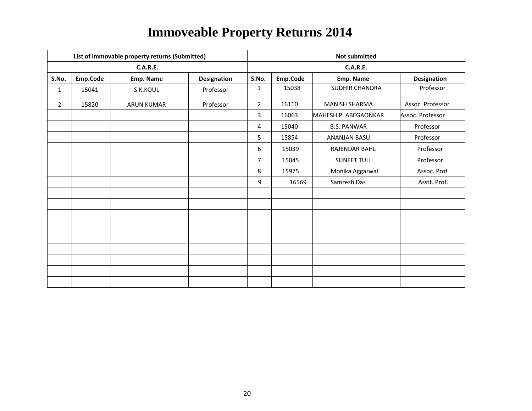|                |          | List of immovable property returns (Submitted) |                    | <b>Not submitted</b> |          |                      |                  |  |  |
|----------------|----------|------------------------------------------------|--------------------|----------------------|----------|----------------------|------------------|--|--|
|                |          | <b>C.A.R.E.</b>                                |                    |                      |          | <b>C.A.R.E.</b>      |                  |  |  |
| S.No.          | Emp.Code | Emp. Name                                      | <b>Designation</b> | S.No.                | Emp.Code | Emp. Name            | Designation      |  |  |
| $\mathbf{1}$   | 15041    | S.K.KOUL                                       | Professor          | 1                    | 15038    | SUDHIR CHANDRA       | Professor        |  |  |
| $\overline{2}$ | 15820    | <b>ARUN KUMAR</b>                              | Professor          | $\overline{2}$       | 16110    | <b>MANISH SHARMA</b> | Assoc. Professor |  |  |
|                |          |                                                |                    | 3                    | 16063    | MAHESH P. ABEGAONKAR | Assoc. Professor |  |  |
|                |          |                                                |                    | 4                    | 15040    | <b>B.S. PANWAR</b>   | Professor        |  |  |
|                |          |                                                |                    | 5                    | 15854    | ANANJAN BASU         | Professor        |  |  |
|                |          |                                                |                    | 6                    | 15039    | RAJENDAR BAHL        | Professor        |  |  |
|                |          |                                                |                    | $\overline{7}$       | 15045    | <b>SUNEET TULI</b>   | Professor        |  |  |
|                |          |                                                |                    | 8                    | 15975    | Monika Aggarwal      | Assoc. Prof      |  |  |
|                |          |                                                |                    | 9                    | 16569    | Samresh Das          | Asstt. Prof.     |  |  |
|                |          |                                                |                    |                      |          |                      |                  |  |  |
|                |          |                                                |                    |                      |          |                      |                  |  |  |
|                |          |                                                |                    |                      |          |                      |                  |  |  |
|                |          |                                                |                    |                      |          |                      |                  |  |  |
|                |          |                                                |                    |                      |          |                      |                  |  |  |
|                |          |                                                |                    |                      |          |                      |                  |  |  |
|                |          |                                                |                    |                      |          |                      |                  |  |  |
|                |          |                                                |                    |                      |          |                      |                  |  |  |
|                |          |                                                |                    |                      |          |                      |                  |  |  |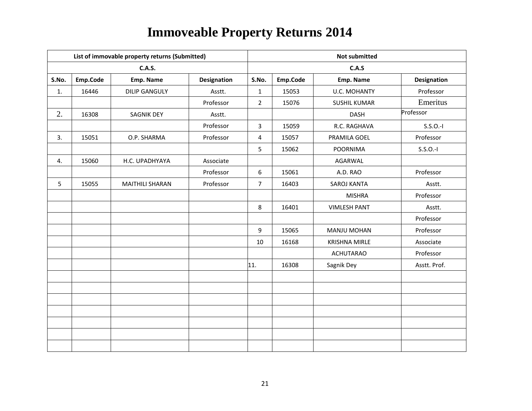|       |          | List of immovable property returns (Submitted) |                    |                | <b>Not submitted</b> |                      |                    |  |  |  |
|-------|----------|------------------------------------------------|--------------------|----------------|----------------------|----------------------|--------------------|--|--|--|
|       |          | <b>C.A.S.</b>                                  |                    |                |                      | C.A.S                |                    |  |  |  |
| S.No. | Emp.Code | Emp. Name                                      | <b>Designation</b> | S.No.          | Emp.Code             | Emp. Name            | <b>Designation</b> |  |  |  |
| 1.    | 16446    | <b>DILIP GANGULY</b>                           | Asstt.             | $\mathbf{1}$   | 15053                | <b>U.C. MOHANTY</b>  | Professor          |  |  |  |
|       |          |                                                | Professor          | $\overline{2}$ | 15076                | <b>SUSHIL KUMAR</b>  | Emeritus           |  |  |  |
| 2.    | 16308    | <b>SAGNIK DEY</b>                              | Asstt.             |                |                      | <b>DASH</b>          | Professor          |  |  |  |
|       |          |                                                | Professor          | $\overline{3}$ | 15059                | R.C. RAGHAVA         | $S.S.O.-I$         |  |  |  |
| 3.    | 15051    | O.P. SHARMA                                    | Professor          | 4              | 15057                | PRAMILA GOEL         | Professor          |  |  |  |
|       |          |                                                |                    | 5              | 15062                | <b>POORNIMA</b>      | $S.S.O.-I$         |  |  |  |
| 4.    | 15060    | H.C. UPADHYAYA                                 | Associate          |                |                      | AGARWAL              |                    |  |  |  |
|       |          |                                                | Professor          | 6              | 15061                | A.D. RAO             | Professor          |  |  |  |
| 5     | 15055    | <b>MAITHILI SHARAN</b>                         | Professor          | $\overline{7}$ | 16403                | SAROJ KANTA          | Asstt.             |  |  |  |
|       |          |                                                |                    |                |                      | <b>MISHRA</b>        | Professor          |  |  |  |
|       |          |                                                |                    | 8              | 16401                | <b>VIMLESH PANT</b>  | Asstt.             |  |  |  |
|       |          |                                                |                    |                |                      |                      | Professor          |  |  |  |
|       |          |                                                |                    | 9              | 15065                | <b>MANJU MOHAN</b>   | Professor          |  |  |  |
|       |          |                                                |                    | 10             | 16168                | <b>KRISHNA MIRLE</b> | Associate          |  |  |  |
|       |          |                                                |                    |                |                      | <b>ACHUTARAO</b>     | Professor          |  |  |  |
|       |          |                                                |                    | 11.            | 16308                | Sagnik Dey           | Asstt. Prof.       |  |  |  |
|       |          |                                                |                    |                |                      |                      |                    |  |  |  |
|       |          |                                                |                    |                |                      |                      |                    |  |  |  |
|       |          |                                                |                    |                |                      |                      |                    |  |  |  |
|       |          |                                                |                    |                |                      |                      |                    |  |  |  |
|       |          |                                                |                    |                |                      |                      |                    |  |  |  |
|       |          |                                                |                    |                |                      |                      |                    |  |  |  |
|       |          |                                                |                    |                |                      |                      |                    |  |  |  |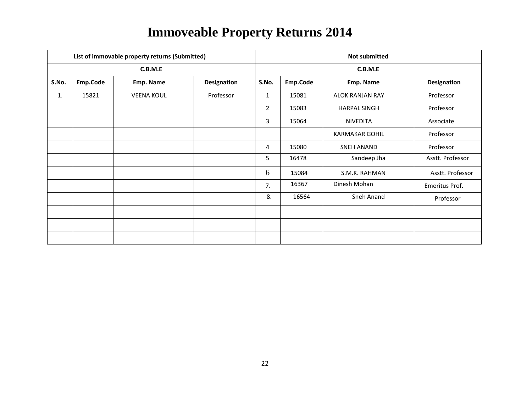|       |          | List of immovable property returns (Submitted) |                    | <b>Not submitted</b> |          |                        |                  |  |  |
|-------|----------|------------------------------------------------|--------------------|----------------------|----------|------------------------|------------------|--|--|
|       |          | C.B.M.E                                        |                    | C.B.M.E              |          |                        |                  |  |  |
| S.No. | Emp.Code | Emp. Name                                      | <b>Designation</b> | S.No.                | Emp.Code | Emp. Name              | Designation      |  |  |
| 1.    | 15821    | <b>VEENA KOUL</b>                              | Professor          | $\mathbf{1}$         | 15081    | <b>ALOK RANJAN RAY</b> | Professor        |  |  |
|       |          |                                                |                    | $\overline{2}$       | 15083    | <b>HARPAL SINGH</b>    | Professor        |  |  |
|       |          |                                                |                    | 3                    | 15064    | <b>NIVEDITA</b>        | Associate        |  |  |
|       |          |                                                |                    |                      |          | <b>KARMAKAR GOHIL</b>  | Professor        |  |  |
|       |          |                                                |                    | 4                    | 15080    | SNEH ANAND             | Professor        |  |  |
|       |          |                                                |                    | 5                    | 16478    | Sandeep Jha            | Asstt. Professor |  |  |
|       |          |                                                |                    | 6                    | 15084    | S.M.K. RAHMAN          | Asstt. Professor |  |  |
|       |          |                                                |                    | 7.                   | 16367    | Dinesh Mohan           | Emeritus Prof.   |  |  |
|       |          |                                                |                    | 8.                   | 16564    | Sneh Anand             | Professor        |  |  |
|       |          |                                                |                    |                      |          |                        |                  |  |  |
|       |          |                                                |                    |                      |          |                        |                  |  |  |
|       |          |                                                |                    |                      |          |                        |                  |  |  |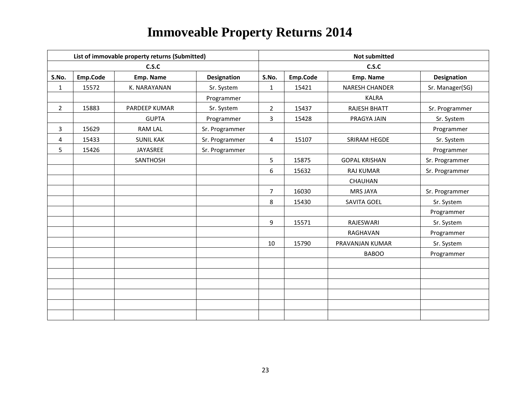|                | List of immovable property returns (Submitted) |                  |                    |                | <b>Not submitted</b> |                       |                    |  |  |  |
|----------------|------------------------------------------------|------------------|--------------------|----------------|----------------------|-----------------------|--------------------|--|--|--|
|                |                                                | C.S.C            |                    |                | C.S.C                |                       |                    |  |  |  |
| S.No.          | Emp.Code                                       | Emp. Name        | <b>Designation</b> | S.No.          | Emp.Code             | Emp. Name             | <b>Designation</b> |  |  |  |
| $\mathbf{1}$   | 15572                                          | K. NARAYANAN     | Sr. System         | $\mathbf{1}$   | 15421                | <b>NARESH CHANDER</b> | Sr. Manager(SG)    |  |  |  |
|                |                                                |                  | Programmer         |                |                      | <b>KALRA</b>          |                    |  |  |  |
| $\overline{2}$ | 15883                                          | PARDEEP KUMAR    | Sr. System         | $\overline{2}$ | 15437                | RAJESH BHATT          | Sr. Programmer     |  |  |  |
|                |                                                | <b>GUPTA</b>     | Programmer         | 3              | 15428                | PRAGYA JAIN           | Sr. System         |  |  |  |
| 3              | 15629                                          | <b>RAM LAL</b>   | Sr. Programmer     |                |                      |                       | Programmer         |  |  |  |
| 4              | 15433                                          | <b>SUNIL KAK</b> | Sr. Programmer     | 4              | 15107                | SRIRAM HEGDE          | Sr. System         |  |  |  |
| 5              | 15426                                          | JAYASREE         | Sr. Programmer     |                |                      |                       | Programmer         |  |  |  |
|                |                                                | SANTHOSH         |                    | 5              | 15875                | <b>GOPAL KRISHAN</b>  | Sr. Programmer     |  |  |  |
|                |                                                |                  |                    | 6              | 15632                | <b>RAJ KUMAR</b>      | Sr. Programmer     |  |  |  |
|                |                                                |                  |                    |                |                      | CHAUHAN               |                    |  |  |  |
|                |                                                |                  |                    | $\overline{7}$ | 16030                | <b>MRS JAYA</b>       | Sr. Programmer     |  |  |  |
|                |                                                |                  |                    | 8              | 15430                | SAVITA GOEL           | Sr. System         |  |  |  |
|                |                                                |                  |                    |                |                      |                       | Programmer         |  |  |  |
|                |                                                |                  |                    | 9              | 15571                | RAJESWARI             | Sr. System         |  |  |  |
|                |                                                |                  |                    |                |                      | RAGHAVAN              | Programmer         |  |  |  |
|                |                                                |                  |                    | 10             | 15790                | PRAVANJAN KUMAR       | Sr. System         |  |  |  |
|                |                                                |                  |                    |                |                      | <b>BABOO</b>          | Programmer         |  |  |  |
|                |                                                |                  |                    |                |                      |                       |                    |  |  |  |
|                |                                                |                  |                    |                |                      |                       |                    |  |  |  |
|                |                                                |                  |                    |                |                      |                       |                    |  |  |  |
|                |                                                |                  |                    |                |                      |                       |                    |  |  |  |
|                |                                                |                  |                    |                |                      |                       |                    |  |  |  |
|                |                                                |                  |                    |                |                      |                       |                    |  |  |  |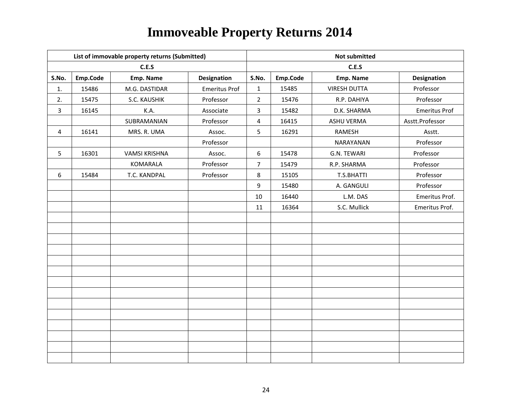|                | List of immovable property returns (Submitted) |                      |                      |                         | <b>Not submitted</b> |                     |                      |  |  |
|----------------|------------------------------------------------|----------------------|----------------------|-------------------------|----------------------|---------------------|----------------------|--|--|
|                |                                                | C.E.S                |                      | C.E.S                   |                      |                     |                      |  |  |
| S.No.          | Emp.Code                                       | Emp. Name            | Designation          | S.No.                   | Emp.Code             | Emp. Name           | Designation          |  |  |
| 1.             | 15486                                          | M.G. DASTIDAR        | <b>Emeritus Prof</b> | $\mathbf{1}$            | 15485                | <b>VIRESH DUTTA</b> | Professor            |  |  |
| 2.             | 15475                                          | S.C. KAUSHIK         | Professor            | $\overline{2}$          | 15476                | R.P. DAHIYA         | Professor            |  |  |
| $\overline{3}$ | 16145                                          | K.A.                 | Associate            | 3                       | 15482                | D.K. SHARMA         | <b>Emeritus Prof</b> |  |  |
|                |                                                | SUBRAMANIAN          | Professor            | $\overline{\mathbf{4}}$ | 16415                | <b>ASHU VERMA</b>   | Asstt.Professor      |  |  |
| 4              | 16141                                          | MRS. R. UMA          | Assoc.               | 5                       | 16291                | RAMESH              | Asstt.               |  |  |
|                |                                                |                      | Professor            |                         |                      | NARAYANAN           | Professor            |  |  |
| 5              | 16301                                          | <b>VAMSI KRISHNA</b> | Assoc.               | 6                       | 15478                | G.N. TEWARI         | Professor            |  |  |
|                |                                                | <b>KOMARALA</b>      | Professor            | $\overline{7}$          | 15479                | R.P. SHARMA         | Professor            |  |  |
| 6              | 15484                                          | T.C. KANDPAL         | Professor            | 8                       | 15105                | T.S.BHATTI          | Professor            |  |  |
|                |                                                |                      |                      | 9                       | 15480                | A. GANGULI          | Professor            |  |  |
|                |                                                |                      |                      | $10\,$                  | 16440                | L.M. DAS            | Emeritus Prof.       |  |  |
|                |                                                |                      |                      | 11                      | 16364                | S.C. Mullick        | Emeritus Prof.       |  |  |
|                |                                                |                      |                      |                         |                      |                     |                      |  |  |
|                |                                                |                      |                      |                         |                      |                     |                      |  |  |
|                |                                                |                      |                      |                         |                      |                     |                      |  |  |
|                |                                                |                      |                      |                         |                      |                     |                      |  |  |
|                |                                                |                      |                      |                         |                      |                     |                      |  |  |
|                |                                                |                      |                      |                         |                      |                     |                      |  |  |
|                |                                                |                      |                      |                         |                      |                     |                      |  |  |
|                |                                                |                      |                      |                         |                      |                     |                      |  |  |
|                |                                                |                      |                      |                         |                      |                     |                      |  |  |
|                |                                                |                      |                      |                         |                      |                     |                      |  |  |
|                |                                                |                      |                      |                         |                      |                     |                      |  |  |
|                |                                                |                      |                      |                         |                      |                     |                      |  |  |
|                |                                                |                      |                      |                         |                      |                     |                      |  |  |
|                |                                                |                      |                      |                         |                      |                     |                      |  |  |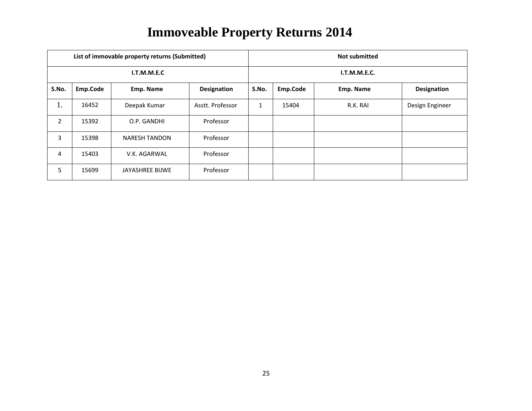|                |          | List of immovable property returns (Submitted) |                    | <b>Not submitted</b> |              |           |                    |  |  |
|----------------|----------|------------------------------------------------|--------------------|----------------------|--------------|-----------|--------------------|--|--|
|                |          | I.T.M.M.E.C                                    |                    |                      | I.T.M.M.E.C. |           |                    |  |  |
| S.No.          | Emp.Code | Emp. Name                                      | <b>Designation</b> | S.No.                | Emp.Code     | Emp. Name | <b>Designation</b> |  |  |
| 1.             | 16452    | Deepak Kumar                                   | Asstt. Professor   | 1                    | 15404        | R.K. RAI  | Design Engineer    |  |  |
| $\overline{2}$ | 15392    | O.P. GANDHI                                    | Professor          |                      |              |           |                    |  |  |
| 3              | 15398    | <b>NARESH TANDON</b>                           | Professor          |                      |              |           |                    |  |  |
| 4              | 15403    | V.K. AGARWAL                                   | Professor          |                      |              |           |                    |  |  |
| 5              | 15699    | JAYASHREE BIJWE                                | Professor          |                      |              |           |                    |  |  |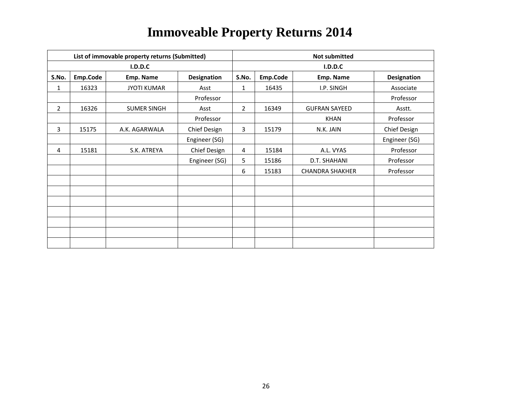|       |          | List of immovable property returns (Submitted) |                    | <b>Not submitted</b> |          |                        |                    |  |
|-------|----------|------------------------------------------------|--------------------|----------------------|----------|------------------------|--------------------|--|
|       |          | <b>I.D.D.C</b>                                 |                    | I.D.D.C              |          |                        |                    |  |
| S.No. | Emp.Code | Emp. Name                                      | <b>Designation</b> | S.No.                | Emp.Code | Emp. Name              | <b>Designation</b> |  |
| 1     | 16323    | <b>JYOTI KUMAR</b>                             | Asst               | 1                    | 16435    | I.P. SINGH             | Associate          |  |
|       |          |                                                | Professor          |                      |          |                        | Professor          |  |
| 2     | 16326    | <b>SUMER SINGH</b>                             | Asst               | $\overline{2}$       | 16349    | <b>GUFRAN SAYEED</b>   | Asstt.             |  |
|       |          |                                                | Professor          |                      |          | <b>KHAN</b>            | Professor          |  |
| 3     | 15175    | A.K. AGARWALA                                  | Chief Design       | 3                    | 15179    | N.K. JAIN              | Chief Design       |  |
|       |          |                                                | Engineer (SG)      |                      |          |                        | Engineer (SG)      |  |
| 4     | 15181    | S.K. ATREYA                                    | Chief Design       | 4                    | 15184    | A.L. VYAS              | Professor          |  |
|       |          |                                                | Engineer (SG)      | 5                    | 15186    | D.T. SHAHANI           | Professor          |  |
|       |          |                                                |                    | 6                    | 15183    | <b>CHANDRA SHAKHER</b> | Professor          |  |
|       |          |                                                |                    |                      |          |                        |                    |  |
|       |          |                                                |                    |                      |          |                        |                    |  |
|       |          |                                                |                    |                      |          |                        |                    |  |
|       |          |                                                |                    |                      |          |                        |                    |  |
|       |          |                                                |                    |                      |          |                        |                    |  |
|       |          |                                                |                    |                      |          |                        |                    |  |
|       |          |                                                |                    |                      |          |                        |                    |  |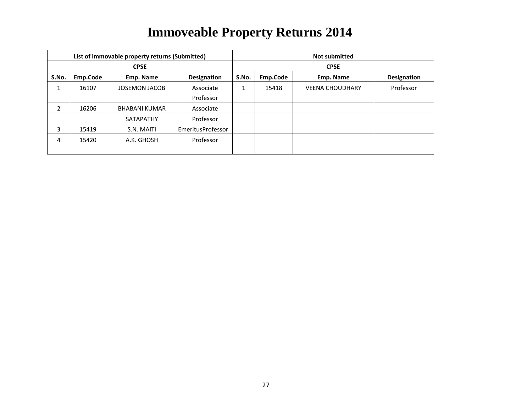|             | List of immovable property returns (Submitted) |                      |                          |       | <b>Not submitted</b> |                        |                    |  |  |
|-------------|------------------------------------------------|----------------------|--------------------------|-------|----------------------|------------------------|--------------------|--|--|
| <b>CPSE</b> |                                                |                      |                          |       | <b>CPSE</b>          |                        |                    |  |  |
| S.No.       | Emp.Code                                       | Emp. Name            | <b>Designation</b>       | S.No. | Emp.Code             | Emp. Name              | <b>Designation</b> |  |  |
| Ŧ.          | 16107                                          | <b>JOSEMON JACOB</b> | Associate                | Ŧ.    | 15418                | <b>VEENA CHOUDHARY</b> | Professor          |  |  |
|             |                                                |                      | Professor                |       |                      |                        |                    |  |  |
| 2           | 16206                                          | <b>BHABANI KUMAR</b> | Associate                |       |                      |                        |                    |  |  |
|             |                                                | <b>SATAPATHY</b>     | Professor                |       |                      |                        |                    |  |  |
| 3           | 15419                                          | S.N. MAITI           | <b>EmeritusProfessor</b> |       |                      |                        |                    |  |  |
| 4           | 15420                                          | A.K. GHOSH           | Professor                |       |                      |                        |                    |  |  |
|             |                                                |                      |                          |       |                      |                        |                    |  |  |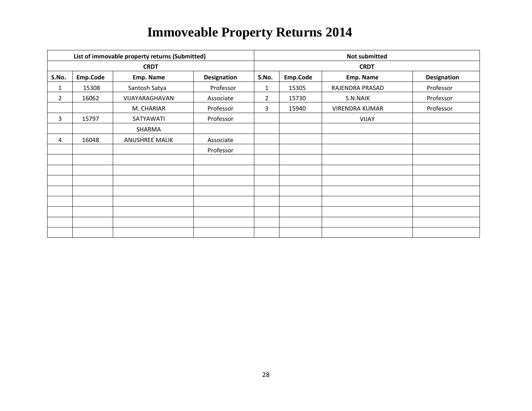| List of immovable property returns (Submitted) |          |                       |             |                | <b>Not submitted</b> |                       |                    |  |  |
|------------------------------------------------|----------|-----------------------|-------------|----------------|----------------------|-----------------------|--------------------|--|--|
|                                                |          | <b>CRDT</b>           |             |                | <b>CRDT</b>          |                       |                    |  |  |
| S.No.                                          | Emp.Code | Emp. Name             | Designation | S.No.          | Emp.Code             | Emp. Name             | <b>Designation</b> |  |  |
| 1                                              | 15308    | Santosh Satya         | Professor   | 1              | 15305                | RAJENDRA PRASAD       | Professor          |  |  |
| $\overline{2}$                                 | 16062    | VIJAYARAGHAVAN        | Associate   | $\overline{2}$ | 15730                | S.N.NAIK              | Professor          |  |  |
|                                                |          | M. CHARIAR            | Professor   | 3              | 15940                | <b>VIRENDRA KUMAR</b> | Professor          |  |  |
| 3                                              | 15797    | SATYAWATI             | Professor   |                |                      | <b>VIJAY</b>          |                    |  |  |
|                                                |          | SHARMA                |             |                |                      |                       |                    |  |  |
| 4                                              | 16048    | <b>ANUSHREE MALIK</b> | Associate   |                |                      |                       |                    |  |  |
|                                                |          |                       | Professor   |                |                      |                       |                    |  |  |
|                                                |          |                       |             |                |                      |                       |                    |  |  |
|                                                |          |                       |             |                |                      |                       |                    |  |  |
|                                                |          |                       |             |                |                      |                       |                    |  |  |
|                                                |          |                       |             |                |                      |                       |                    |  |  |
|                                                |          |                       |             |                |                      |                       |                    |  |  |
|                                                |          |                       |             |                |                      |                       |                    |  |  |
|                                                |          |                       |             |                |                      |                       |                    |  |  |
|                                                |          |                       |             |                |                      |                       |                    |  |  |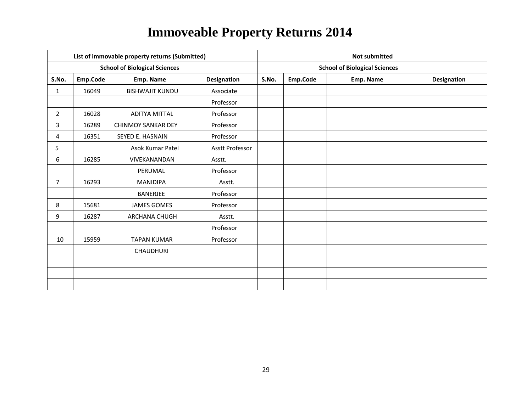| List of immovable property returns (Submitted) |          |                                      |                 |       | <b>Not submitted</b>                 |           |             |  |  |
|------------------------------------------------|----------|--------------------------------------|-----------------|-------|--------------------------------------|-----------|-------------|--|--|
|                                                |          | <b>School of Biological Sciences</b> |                 |       | <b>School of Biological Sciences</b> |           |             |  |  |
| S.No.                                          | Emp.Code | Emp. Name                            | Designation     | S.No. | Emp.Code                             | Emp. Name | Designation |  |  |
| 1                                              | 16049    | <b>BISHWAJIT KUNDU</b>               | Associate       |       |                                      |           |             |  |  |
|                                                |          |                                      | Professor       |       |                                      |           |             |  |  |
| $\overline{2}$                                 | 16028    | <b>ADITYA MITTAL</b>                 | Professor       |       |                                      |           |             |  |  |
| 3                                              | 16289    | <b>CHINMOY SANKAR DEY</b>            | Professor       |       |                                      |           |             |  |  |
| 4                                              | 16351    | SEYED E. HASNAIN                     | Professor       |       |                                      |           |             |  |  |
| 5                                              |          | Asok Kumar Patel                     | Asstt Professor |       |                                      |           |             |  |  |
| 6                                              | 16285    | VIVEKANANDAN                         | Asstt.          |       |                                      |           |             |  |  |
|                                                |          | PERUMAL                              | Professor       |       |                                      |           |             |  |  |
| $\overline{7}$                                 | 16293    | <b>MANIDIPA</b>                      | Asstt.          |       |                                      |           |             |  |  |
|                                                |          | <b>BANERJEE</b>                      | Professor       |       |                                      |           |             |  |  |
| 8                                              | 15681    | <b>JAMES GOMES</b>                   | Professor       |       |                                      |           |             |  |  |
| 9                                              | 16287    | ARCHANA CHUGH                        | Asstt.          |       |                                      |           |             |  |  |
|                                                |          |                                      | Professor       |       |                                      |           |             |  |  |
| 10                                             | 15959    | <b>TAPAN KUMAR</b>                   | Professor       |       |                                      |           |             |  |  |
|                                                |          | <b>CHAUDHURI</b>                     |                 |       |                                      |           |             |  |  |
|                                                |          |                                      |                 |       |                                      |           |             |  |  |
|                                                |          |                                      |                 |       |                                      |           |             |  |  |
|                                                |          |                                      |                 |       |                                      |           |             |  |  |